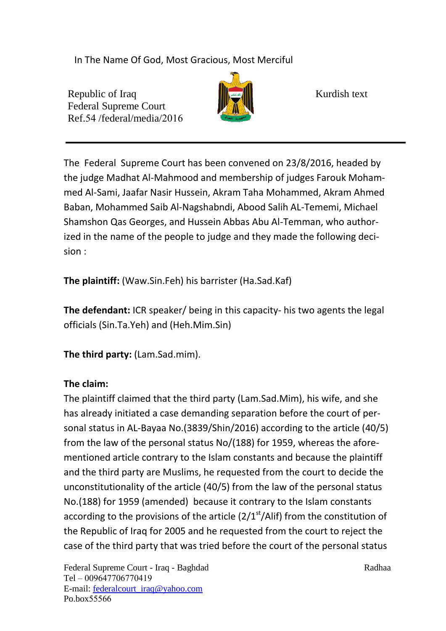In The Name Of God, Most Gracious, Most Merciful

Republic of Iraq Kurdish text Federal Supreme Court Ref.54 /federal/media/2016



The Federal Supreme Court has been convened on 23/8/2016, headed by the judge Madhat Al-Mahmood and membership of judges Farouk Mohammed Al-Sami, Jaafar Nasir Hussein, Akram Taha Mohammed, Akram Ahmed Baban, Mohammed Saib Al-Nagshabndi, Abood Salih AL-Tememi, Michael Shamshon Qas Georges, and Hussein Abbas Abu Al-Temman, who authorized in the name of the people to judge and they made the following decision :

**The plaintiff:** (Waw.Sin.Feh) his barrister (Ha.Sad.Kaf)

**The defendant:** ICR speaker/ being in this capacity- his two agents the legal officials (Sin.Ta.Yeh) and (Heh.Mim.Sin)

**The third party:** (Lam.Sad.mim).

## **The claim:**

The plaintiff claimed that the third party (Lam.Sad.Mim), his wife, and she has already initiated a case demanding separation before the court of personal status in AL-Bayaa No.  $(3839/Shin / 2016)$  according to the article  $(40/5)$ from the law of the personal status  $No/(188)$  for 1959, whereas the aforementioned article contrary to the Islam constants and because the plaintiff and the third party are Muslims, he requested from the court to decide the unconstitutionality of the article  $(40/5)$  from the law of the personal status No.(188) for 1959 (amended) because it contrary to the Islam constants according to the provisions of the article  $(2/1<sup>st</sup>/Alif)$  from the constitution of the Republic of Iraq for 2005 and he requested from the court to reject the case of the third party that was tried before the court of the personal status

Federal Supreme Court - Iraq - Baghdad Radhaa Radhaa Tel - 009647706770419 E-mail: federalcourt\_iraq@yahoo.com Po.box55566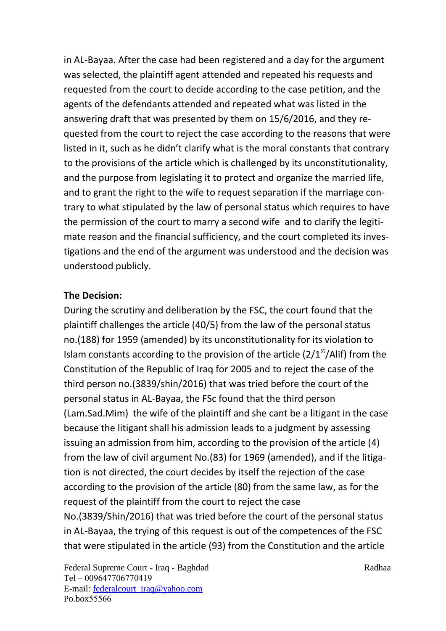in AL-Bayaa. After the case had been registered and a day for the argument was selected, the plaintiff agent attended and repeated his requests and requested from the court to decide according to the case petition, and the agents of the defendants attended and repeated what was listed in the answering draft that was presented by them on  $15/6/2016$ , and they requested from the court to reject the case according to the reasons that were listed in it, such as he didn't clarify what is the moral constants that contrary to the provisions of the article which is challenged by its unconstitutionality, and the purpose from legislating it to protect and organize the married life, and to grant the right to the wife to request separation if the marriage contrary to what stipulated by the law of personal status which requires to have the permission of the court to marry a second wife and to clarify the legitimate reason and the financial sufficiency, and the court completed its investigations and the end of the argument was understood and the decision was understood publicly.

## **The Decision:**

During the scrutiny and deliberation by the FSC, the court found that the plaintiff challenges the article (40/5) from the law of the personal status no.(188) for 1959 (amended) by its unconstitutionality for its violation to Islam constants according to the provision of the article  $(2/1<sup>st</sup>/Alif)$  from the Constitution of the Republic of Iraq for 2005 and to reject the case of the third person no.  $(3839/s$ hin/ 2016) that was tried before the court of the personal status in AL-Bayaa, the FSc found that the third person (Lam.Sad.Mim) the wife of the plaintiff and she cant be a litigant in the case because the litigant shall his admission leads to a judgment by assessing issuing an admission from him, according to the provision of the article (4) from the law of civil argument No.(83) for 1969 (amended), and if the litigation is not directed, the court decides by itself the rejection of the case according to the provision of the article (80) from the same law, as for the request of the plaintiff from the court to reject the case No.(3839/Shin/2016) that was tried before the court of the personal status in AL-Bayaa, the trying of this request is out of the competences of the FSC that were stipulated in the article (93) from the Constitution and the article

Federal Supreme Court - Iraq - Baghdad Radhaa Tel - 009647706770419 E-mail: federalcourt\_iraq@yahoo.com Po.box55566